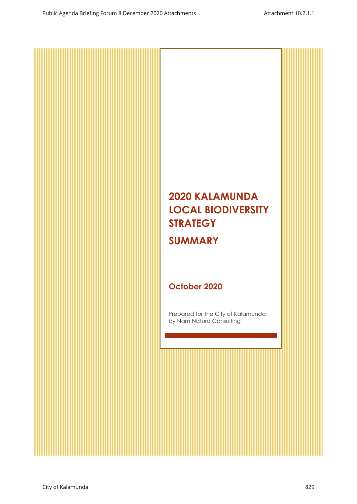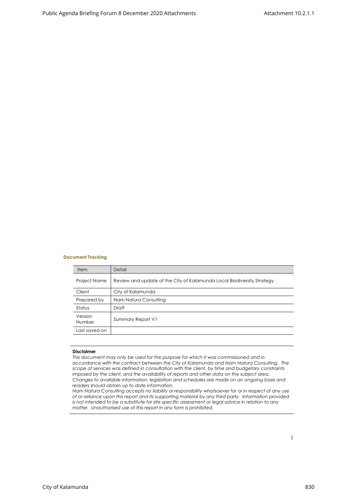#### **Document Tracking**

| <b>Item</b>         | Detail                                                                 |
|---------------------|------------------------------------------------------------------------|
| <b>Project Name</b> | Review and update of the City of Kalamunda Local Biodiversity Strategy |
| Client              | City of Kalamunda                                                      |
| Prepared by         | Nam Natura Consulting                                                  |
| Status              | Draft                                                                  |
| Version<br>Number   | Summary Report V1                                                      |
| Last saved on       |                                                                        |
|                     |                                                                        |

#### **Disclaimer**

*This document may only be used for the purpose for which it was commissioned and in accordance with the contract between the City of Kalamunda and Nam Natura Consulting. The scope of services was defined in consultation with the client, by time and budgetary constraints imposed by the client, and the availability of reports and other data on the subject area. Changes to available information, legislation and schedules are made on an ongoing basis and readers should obtain up to date information.*

*Nam Natura Consulting accepts no liability or responsibility whatsoever for or in respect of any use of or reliance upon this report and its supporting material by any third party. Information provided is not intended to be a substitute for site specific assessment or legal advice in relation to any matter. Unauthorised use of this report in any form is prohibited.*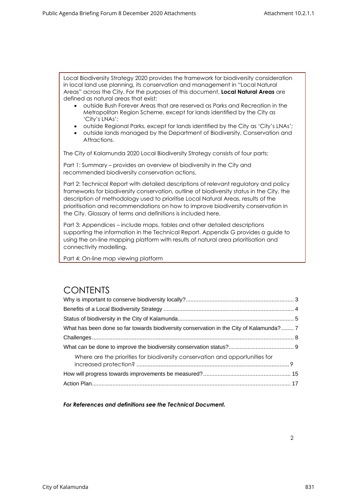Local Biodiversity Strategy 2020 provides the framework for biodiversity consideration in local land use planning, its conservation and management in "Local Natural Areas" across the City. For the purposes of this document, **Local Natural Areas** are defined as natural areas that exist:

- outside Bush Forever Areas that are reserved as Parks and Recreation in the Metropolitan Region Scheme, except for lands identified by the City as 'City's LNAs';
- outside Regional Parks, except for lands identified by the City as 'City's LNAs';
- outside lands managed by the Department of Biodiversity, Conservation and Attractions.

The City of Kalamunda 2020 Local Biodiversity Strategy consists of four parts:

Part 1: Summary – provides an overview of biodiversity in the City and recommended biodiversity conservation actions.

Part 2: Technical Report with detailed descriptions of relevant regulatory and policy frameworks for biodiversity conservation, outline of biodiversity status in the City, the description of methodology used to prioritise Local Natural Areas, results of the prioritisation and recommendations on how to improve biodiversity conservation in the City. Glossary of terms and definitions is included here.

Part 3: Appendices – include maps, tables and other detailed descriptions supporting the information in the Technical Report. Appendix G provides a guide to using the on-line mapping platform with results of natural area prioritisation and connectivity modelling.

Part 4: On-line map viewing platform

#### **CONTENTS**

| What has been done so far towards biodiversity conservation in the City of Kalamunda? 7 |  |
|-----------------------------------------------------------------------------------------|--|
|                                                                                         |  |
|                                                                                         |  |
| Where are the priorities for biodiversity conservation and opportunities for            |  |
|                                                                                         |  |
|                                                                                         |  |

*For References and definitions see the Technical Document.*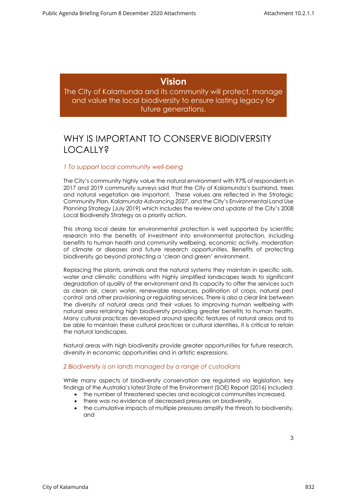#### **Vision**

<span id="page-3-0"></span>The City of Kalamunda and its community will protect, manage and value the local biodiversity to ensure lasting legacy for future generations.

### WHY IS IMPORTANT TO CONSERVE BIODIVERSITY LOCALLY?

#### *1 To support local community well-being*

The City's community highly value the natural environment with 97% of respondents in 2017 and 2019 community surveys said that the City of Kalamunda's bushland, trees and natural vegetation are important. These values are reflected in the Strategic Community Plan, *Kalamunda Advancing 2027*, and the City's Environmental Land Use Planning Strategy (July 2019) which includes the review and update of the City's 2008 Local Biodiversity Strategy as a priority action.

This strong local desire for environmental protection is well supported by scientific research into the benefits of investment into environmental protection, including benefits to human health and community wellbeing, economic activity, moderation of climate or diseases and future research opportunities. Benefits of protecting biodiversity go beyond protecting a 'clean and green' environment.

Replacing the plants, animals and the natural systems they maintain in specific soils, water and climatic conditions with highly simplified landscapes leads to significant degradation of quality of the environment and its capacity to offer the services such as clean air, clean water, renewable resources, pollination of crops, natural pest control and other provisioning or regulating services. There is also a clear link between the diversity of natural areas and their values to improving human wellbeing with natural area retaining high biodiversity providing greater benefits to human health. Many cultural practices developed around specific features of natural areas and to be able to maintain these cultural practices or cultural identities, it is critical to retain the natural landscapes.

Natural areas with high biodiversity provide greater opportunities for future research, diversity in economic opportunities and in artistic expressions.

#### *2 Biodiversity is on lands managed by a range of custodians*

While many aspects of biodiversity conservation are regulated via legislation, [key](https://soe.environment.gov.au/theme/biodiversity)  [findings](https://soe.environment.gov.au/theme/biodiversity) of the Australia's latest State of the Environment (SOE) Report (2016) included;

- the number of threatened species and ecological communities increased,
- there was no evidence of decreased pressures on biodiversity,
- the cumulative impacts of multiple pressures amplify the threats to biodiversity, and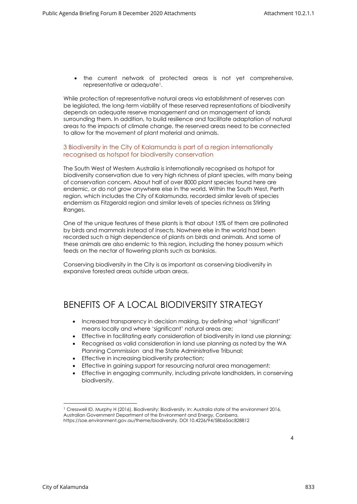• the current network of protected areas is not yet comprehensive, representative or adequate<sup>1</sup>.

While protection of representative natural areas via establishment of reserves can be legislated, the long-term viability of these reserved representations of biodiversity depends on adequate reserve management and on management of lands surrounding them. In addition, to build resilience and facilitate adaptation of natural areas to the impacts of climate change, the reserved areas need to be connected to allow for the movement of plant material and animals.

#### 3 Biodiversity in the City of Kalamunda is part of a region internationally recognised as hotspot for biodiversity conservation

The South West of Western Australia is internationally recognised as hotspot for biodiversity conservation due to very high richness of plant species, with many being of conservation concern. About half of over 8000 plant species found here are endemic, or do not grow anywhere else in the world. Within the South West, Perth region, which includes the City of Kalamunda, recorded similar levels of species endemism as Fitzgerald region and similar levels of species richness as Stirling Ranges.

One of the unique features of these plants is that about 15% of them are pollinated by birds and mammals instead of insects. Nowhere else in the world had been recorded such a high dependence of plants on birds and animals. And some of these animals are also endemic to this region, including the honey possum which feeds on the nectar of flowering plants such as banksias.

Conserving biodiversity in the City is as important as conserving biodiversity in expansive forested areas outside urban areas.

#### <span id="page-4-0"></span>BENEFITS OF A LOCAL BIODIVERSITY STRATEGY

- Increased transparency in decision making, by defining what 'significant' means locally and where 'significant' natural areas are;
- Effective in facilitating early consideration of biodiversity in land use planning;
- Recognised as valid consideration in land use planning as noted by the WA Planning Commission and the State Administrative Tribunal;
- Effective in increasing biodiversity protection;
- Effective in gaining support for resourcing natural area management;
- Effective in engaging community, including private landholders, in conserving biodiversity.

<sup>1</sup> Cresswell ID, Murphy H (2016). Biodiversity: Biodiversity. In: Australia state of the environment 2016, Australian Government Department of the Environment and Energy, Canberra, https://soe.environment.gov.au/theme/biodiversity, DOI 10.4226/94/58b65ac828812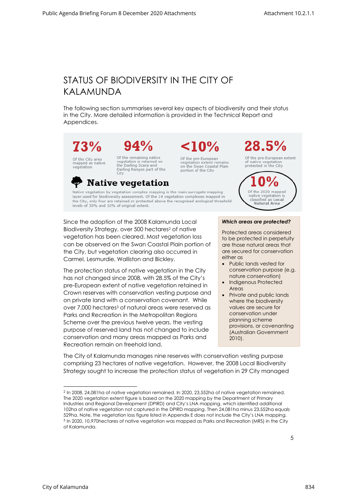# <span id="page-5-0"></span>STATUS OF BIODIVERSITY IN THE CITY OF KALAMUNDA

The following section summarises several key aspects of biodiversity and their status in the City. More detailed information is provided in the Technical Report and Appendices.



# $94%$

**Native vegetation** 

Of the City area<br>mapped as native vegetation

Of the remaining native<br>vegetation is retained on<br>the Darling Scarp and Darling Ranges part of the City

Of the pre-European vegetation extent remains<br>on the Swan Coastal Plain portion of the City

 $< 10\%$ 



Of the pre-European extent of native vegetation protected in the City



Native vegetation by vegetation complex mapping is the main surrogate mapping layer used for biodiversity assessment. Of the 14 vegetation complexes mapped in the City, only four are retained or protected above the recognised ecological threshold levels of 30% and 10% of original extent.

Since the adoption of the 2008 Kalamunda Local Biodiversity Strategy, over 500 hectares<sup>2</sup> of native vegetation has been cleared. Most vegetation loss can be observed on the Swan Coastal Plain portion of the City, but vegetation clearing also occurred in Carmel, Lesmurdie, Walliston and Bickley.

The protection status of native vegetation in the City has not changed since 2008, with 28.5% of the City's pre-European extent of native vegetation retained in Crown reserves with conservation vesting purpose and on private land with a conservation covenant. While over 7,000 hectares<sup>3</sup> of natural areas were reserved as Parks and Recreation in the Metropolitan Regions Scheme over the previous twelve years, the vesting purpose of reserved land has not changed to include conservation and many areas mapped as Parks and Recreation remain on freehold land.

*Which areas are protected?* 

Protected areas considered to be protected in perpetuity are those natural areas that are secured for conservation either as

- Public lands vested for conservation purpose (e.g. nature conservation)
- Indigenous Protected Areas
- Private and public lands where the biodiversity values are secure for conservation under planning scheme provisions, or covenanting (Australian Government 2010).

The City of Kalamunda manages nine reserves with conservation vesting purpose comprising 23 hectares of native vegetation. However, the 2008 Local Biodiversity Strategy sought to increase the protection status of vegetation in 29 City managed

<sup>2</sup> In 2008, 24,081ha of native vegetation remained. In 2020, 23,552ha of native vegetation remained. The 2020 vegetation extent figure is based on the 2020 mapping by the Department of Primary Industries and Regional Development (DPIRD) and City's LNA mapping, which identified additional 102ha of native vegetation not captured in the DPIRD mapping. Then 24,081ha minus 23,552ha equals 529ha. Note, the vegetation loss figure listed in Appendix E does not include the City's LNA mapping. <sup>3</sup> In 2020, 10,970hectares of native vegetation was mapped as Parks and Recreation (MRS) in the City of Kalamunda.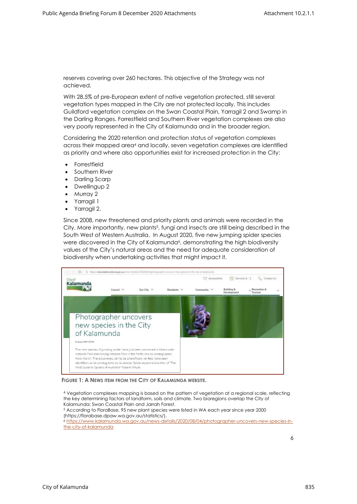reserves covering over 260 hectares. This objective of the Strategy was not achieved.

With 28.5% of pre-European extent of native vegetation protected, still several vegetation types mapped in the City are not protected locally. This includes Guildford vegetation complex on the Swan Coastal Plain, Yarragil 2 and Swamp in the Darling Ranges. Forrestfield and Southern River vegetation complexes are also very poorly represented in the City of Kalamunda and in the broader region.

Considering the 2020 retention and protection status of vegetation complexes across their mapped area<sup>4</sup> and locally, seven vegetation complexes are identified as priority and where also opportunities exist for increased protection in the City:

- **Forrestfield**
- Southern River
- Darling Scarp
- Dwellingup 2
- Murray 2
- Yarragil 1
- Yarragil 2.

Since 2008, new threatened and priority plants and animals were recorded in the City. More importantly, new plants<sup>5</sup>, fungi and insects are still being described in the South West of Western Australia. In August 2020, five new jumping spider species were discovered in the City of Kalamunda<sup>6</sup>, demonstrating the high biodiversity values of the City's natural areas and the need for adequate consideration of biodiversity when undertaking activities that might impact it.



**FIGURE 1: A NEWS ITEM FROM THE CITY OF KALAMUNDA WEBSITE.**

<sup>4</sup> Vegetation complexes mapping is based on the pattern of vegetation at a regional scale, reflecting the key determining factors of landform, soils and climate. Two bioregions overlap the City of Kalamunda; Swan Coastal Plain and Jarrah Forest. <sup>5</sup> According to FloraBase, 95 new plant species were listed in WA each year since year 2000 (https://florabase.dpaw.wa.gov.au/statistics/). <sup>6</sup> [https://www.kalamunda.wa.gov.au/news-details/2020/08/04/photographer-uncovers-new-species-in](https://www.kalamunda.wa.gov.au/news-details/2020/08/04/photographer-uncovers-new-species-in-the-city-of-kalamunda)[the-city-of-kalamunda](https://www.kalamunda.wa.gov.au/news-details/2020/08/04/photographer-uncovers-new-species-in-the-city-of-kalamunda)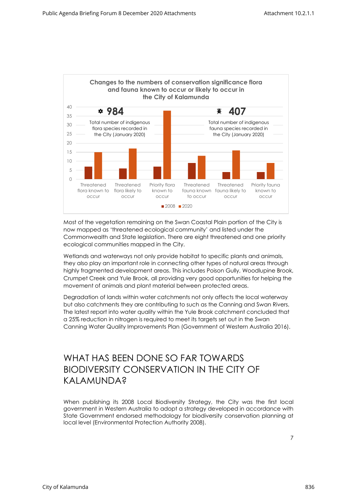

Most of the vegetation remaining on the Swan Coastal Plain portion of the City is now mapped as 'threatened ecological community' and listed under the Commonwealth and State legislation. There are eight threatened and one priority ecological communities mapped in the City.

Wetlands and waterways not only provide habitat to specific plants and animals, they also play an important role in connecting other types of natural areas through highly fragmented development areas. This includes Poison Gully, Woodlupine Brook, Crumpet Creek and Yule Brook, all providing very good opportunities for helping the movement of animals and plant material between protected areas.

Degradation of lands within water catchments not only affects the local waterway but also catchments they are contributing to such as the Canning and Swan Rivers. The latest report into water quality within the Yule Brook catchment concluded that a 25% reduction in nitrogen is required to meet its targets set out in the Swan Canning Water Quality Improvements Plan (Government of Western Australia 2016).

### <span id="page-7-0"></span>WHAT HAS BEEN DONE SO FAR TOWARDS BIODIVERSITY CONSERVATION IN THE CITY OF KAI AMUNDA?

When publishing its 2008 Local Biodiversity Strategy, the City was the first local government in Western Australia to adopt a strategy developed in accordance with State Government endorsed methodology for biodiversity conservation planning at local level (Environmental Protection Authority 2008).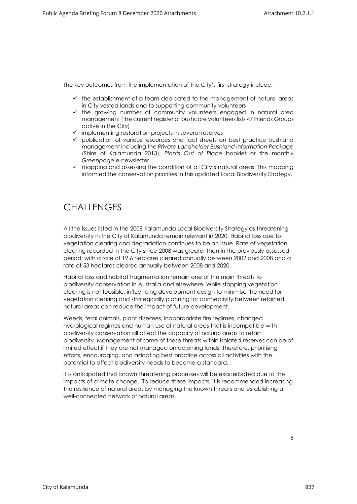The key outcomes from the implementation of the City's first strategy include:

- $\checkmark$  the establishment of a team dedicated to the management of natural areas in City vested lands and to supporting community volunteers
- ✓ the growing number of community volunteers engaged in natural area management (the current register of bushcare volunteers lists 47 Friends Groups active in the City)
- $\checkmark$  implementing restoration projects in several reserves
- ✓ publication of various resources and fact sheets on best practice bushland management including the *Private Landholder Bushland Information Package* (Shire of Kalamunda 2013), *Plants Out of Place* booklet or the monthly *Greenpage* e-newsletter
- ✓ mapping and assessing the condition of all City's natural areas. This mapping informed the conservation priorities in this updated Local Biodiversity Strategy.

# <span id="page-8-0"></span>**CHALLENGES**

All the issues listed in the 2008 Kalamunda Local Biodiversity Strategy as threatening biodiversity in the City of Kalamunda remain relevant in 2020. Habitat loss due to vegetation clearing and degradation continues to be an issue. Rate of vegetation clearing recorded in the City since 2008 was greater than in the previously assessed period; with a rate of 19.6 hectares cleared annually between 2002 and 2008 and a rate of 53 hectares cleared annually between 2008 and 2020.

Habitat loss and habitat fragmentation remain one of the main threats to biodiversity conservation in Australia and elsewhere. While stopping vegetation clearing is not feasible, influencing development design to minimise the need for vegetation clearing and strategically planning for connectivity between retained natural areas can reduce the impact of future development.

Weeds, feral animals, plant diseases, inappropriate fire regimes, changed hydrological regimes and human use of natural areas that is incompatible with biodiversity conservation all affect the capacity of natural areas to retain biodiversity. Management of some of these threats within isolated reserves can be of limited effect if they are not managed on adjoining lands. Therefore, prioritising efforts, encouraging, and adopting best practice across all activities with the potential to affect biodiversity needs to become a standard.

It is anticipated that known threatening processes will be exacerbated due to the impacts of climate change. To reduce these impacts, it is recommended increasing the resilience of natural areas by managing the known threats and establishing a well-connected network of natural areas.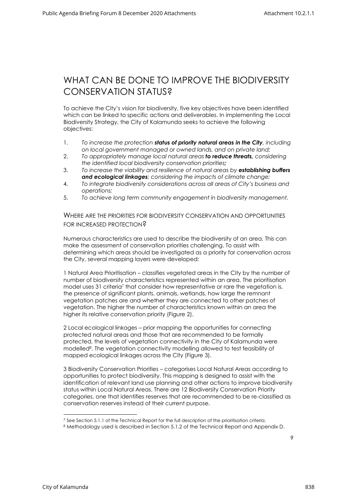### <span id="page-9-0"></span>WHAT CAN BE DONE TO IMPROVE THE BIODIVERSITY CONSERVATION STATUS?

To achieve the City's vision for biodiversity, five key objectives have been identified which can be linked to specific actions and deliverables. In implementing the Local Biodiversity Strategy, the City of Kalamunda seeks to achieve the following objectives:

- 1. *To increase the protection status of priority natural areas in the City, including on local government managed or owned lands, and on private land;*
- 2. *To appropriately manage local natural areas to reduce threats, considering the identified local biodiversity conservation priorities;*
- 3. *To increase the viability and resilience of natural areas by establishing buffers and ecological linkages; considering the impacts of climate change;*
- 4. *To integrate biodiversity considerations across all areas of City's business and operations;*
- <span id="page-9-1"></span>5. *To achieve long term community engagement in biodiversity management.*

WHERE ARE THE PRIORITIES FOR BIODIVERSITY CONSERVATION AND OPPORTUNITIES FOR INCREASED PROTECTION?

Numerous characteristics are used to describe the biodiversity of an area. This can make the assessment of conservation priorities challenging. To assist with determining which areas should be investigated as a priority for conservation across the City, several mapping layers were developed:

1 Natural Area Prioritisation – classifies vegetated areas in the City by the number of number of biodiversity characteristics represented within an area. The prioritisation model uses 31 criteria<sup>7</sup> that consider how representative or rare the vegetation is, the presence of significant plants, animals, wetlands, how large the remnant vegetation patches are and whether they are connected to other patches of vegetation. The higher the number of characteristics known within an area the higher its relative conservation priority (Figure 2).

2 Local ecological linkages – prior mapping the opportunities for connecting protected natural areas and those that are recommended to be formally protected, the levels of vegetation connectivity in the City of Kalamunda were modelled<sup>8</sup> . The vegetation connectivity modelling allowed to test feasibility of mapped ecological linkages across the City (Figure 3).

3 Biodiversity Conservation Priorities – categorises Local Natural Areas according to opportunities to protect biodiversity. This mapping is designed to assist with the identification of relevant land use planning and other actions to improve biodiversity status within Local Natural Areas. There are 12 Biodiversity Conservation Priority categories, one that identifies reserves that are recommended to be re-classified as conservation reserves instead of their current purpose.

<sup>&</sup>lt;sup>7</sup> See Section 5.1.1 of the Technical Report for the full description of the prioritisation criteria.

<sup>8</sup> Methodology used is described in Section 5.1.2 of the Technical Report and Appendix D.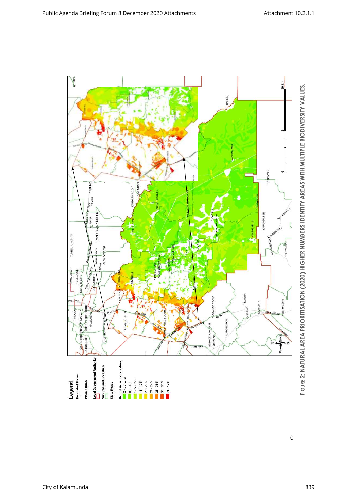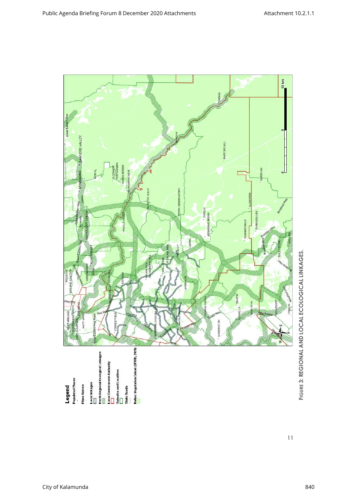

**FIGURE 3: REGIONAL AND LOCAL ECOLOGICAL LINKAGES. 3: REGIONAL AND LOCAL ECOLOGICAL LINKAGES.**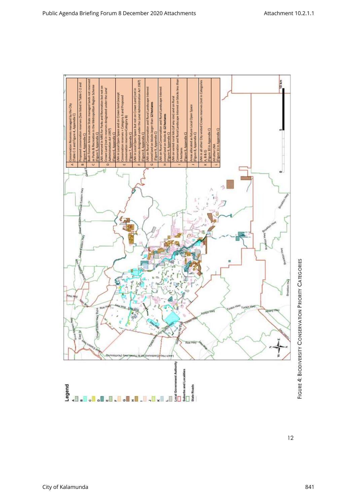

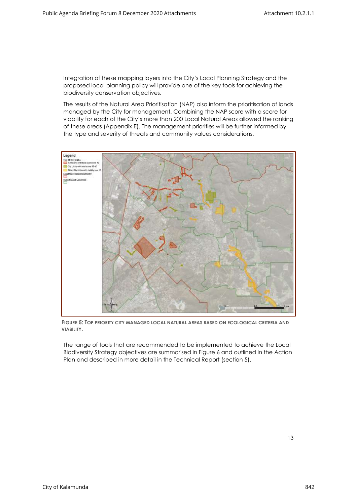Integration of these mapping layers into the City's Local Planning Strategy and the proposed local planning policy will provide one of the key tools for achieving the biodiversity conservation objectives.

The results of the Natural Area Prioritisation (NAP) also inform the prioritisation of lands managed by the City for management. Combining the NAP score with a score for viability for each of the City's more than 200 Local Natural Areas allowed the ranking of these areas (Appendix E). The management priorities will be further informed by the type and severity of threats and community values considerations.



**FIGURE 5: TOP PRIORITY CITY MANAGED LOCAL NATURAL AREAS BASED ON ECOLOGICAL CRITERIA AND VIABILITY.**

The range of tools that are recommended to be implemented to achieve the Local Biodiversity Strategy objectives are summarised in Figure 6 and outlined in the Action Plan and described in more detail in the Technical Report (section 5).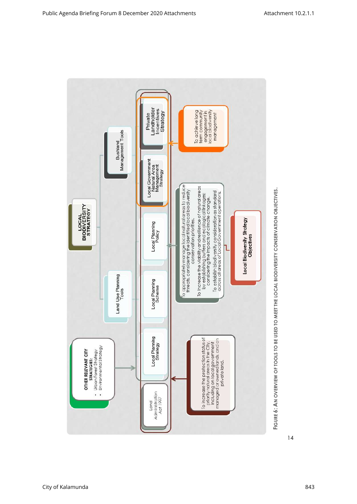

**FIGURE 6: AN OVERVIEW OF TOOLS TO BE USED TO MEET THE LOCAL BIODIVERSITY CONSERVATION OBJECTIVES. 6: AN OVERVIEW OF TOOLS TO BE USED TO MEET THE LOCAL BIODIVERSITY CONSERVATION OBJECTIVES.**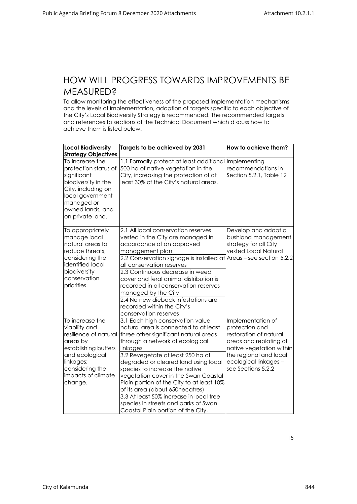#### <span id="page-15-0"></span>HOW WILL PROGRESS TOWARDS IMPROVEMENTS BE **MEASURED?**

To allow monitoring the effectiveness of the proposed implementation mechanisms and the levels of implementation, adoption of targets specific to each objective of the City's Local Biodiversity Strategy is recommended. The recommended targets and references to sections of the Technical Document which discuss how to achieve them is listed below.

| <b>Local Biodiversity</b><br><b>Strategy Objectives</b>                                                                                                                          | Targets to be achieved by 2031                                                                                                                                                                                                                                                                                                                                                                                                                                                                                                                             | How to achieve them?                                                                                                                                                                         |
|----------------------------------------------------------------------------------------------------------------------------------------------------------------------------------|------------------------------------------------------------------------------------------------------------------------------------------------------------------------------------------------------------------------------------------------------------------------------------------------------------------------------------------------------------------------------------------------------------------------------------------------------------------------------------------------------------------------------------------------------------|----------------------------------------------------------------------------------------------------------------------------------------------------------------------------------------------|
| To increase the<br>protection status of<br>significant<br>biodiversity in the<br>City, including on<br>local government<br>managed or<br>owned lands, and<br>on private land.    | 1.1 Formally protect at least additional Implementing<br>500 ha of native vegetation in the<br>City, increasing the protection of at<br>least 30% of the City's natural areas.                                                                                                                                                                                                                                                                                                                                                                             | recommendations in<br>Section 5.2.1, Table 12                                                                                                                                                |
| To appropriately<br>manage local<br>natural areas to<br>reduce threats,<br>considering the<br>identified local<br>biodiversity<br>conservation<br>priorities.                    | 2.1 All local conservation reserves<br>vested in the City are managed in<br>accordance of an approved<br>management plan<br>2.2 Conservation signage is installed at Areas - see section 5.2.2<br>all conservation reserves<br>2.3 Continuous decrease in weed<br>cover and feral animal distribution is<br>recorded in all conservation reserves<br>managed by the City<br>2.4 No new dieback infestations are<br>recorded within the City's                                                                                                              | Develop and adopt a<br>bushland management<br>strategy for all City<br>vested Local Natural                                                                                                  |
| To increase the<br>viability and<br>resilience of natural<br>areas by<br>establishing buffers<br>and ecological<br>linkages;<br>considering the<br>impacts of climate<br>change. | conservation reserves<br>3.1 Each high conservation value<br>natural area is connected to at least<br>three other significant natural areas<br>through a network of ecological<br>linkages<br>3.2 Revegetate at least 250 ha of<br>degraded or cleared land using local<br>species to increase the native<br>vegetation cover in the Swan Coastal<br>Plain portion of the City to at least 10%<br>of its area (about 650hecatres)<br>3.3 At least 50% increase in local tree<br>species in streets and parks of Swan<br>Coastal Plain portion of the City. | Implementation of<br>protection and<br>restoration of natural<br>areas and replating of<br>native vegetation within<br>the regional and local<br>ecological linkages -<br>see Sections 5.2.2 |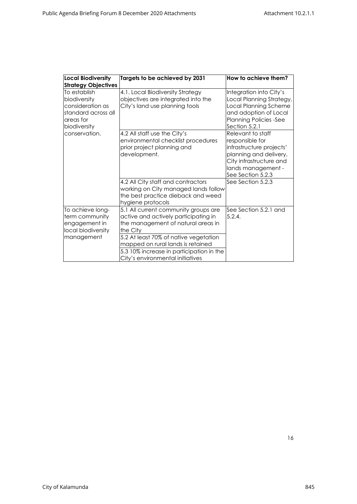| <b>Local Biodiversity</b>                                                                            | Targets to be achieved by 2031                                                                                                                                                                                                                                                               | How to achieve them?                                                                                                                                             |
|------------------------------------------------------------------------------------------------------|----------------------------------------------------------------------------------------------------------------------------------------------------------------------------------------------------------------------------------------------------------------------------------------------|------------------------------------------------------------------------------------------------------------------------------------------------------------------|
| <b>Strategy Objectives</b>                                                                           |                                                                                                                                                                                                                                                                                              |                                                                                                                                                                  |
| To establish<br>biodiversity<br>consideration as<br>standard across all<br>areas for<br>biodiversity | 4.1. Local Biodiversity Strategy<br>objectives are integrated into the<br>City's land use planning tools                                                                                                                                                                                     | Integration into City's<br>Local Planning Strategy,<br>Local Planning Scheme<br>and adoption of Local<br><b>Planning Policies -See</b><br>Section 5.2.1          |
| conservation.                                                                                        | 4.2 All staff use the City's<br>environmental checklist procedures<br>prior project planning and<br>development.                                                                                                                                                                             | Relevant to staff<br>responsible for<br>infrastructure projects'<br>planning and delivery,<br>City infrastructure and<br>lands management -<br>See Section 5.2.3 |
|                                                                                                      | 4.2 All City staff and contractors<br>working on City managed lands follow<br>the best practice dieback and weed<br>hygiene protocols                                                                                                                                                        | See Section 5.2.3                                                                                                                                                |
| To achieve long-<br>term community<br>engagement in<br>local biodiversity<br>management              | 5.1 All current community groups are<br>active and actively participating in<br>the management of natural areas in<br>the City<br>5.2 At least 70% of native vegetation<br>mapped on rural lands is retained<br>5.3 10% increase in participation in the<br>City's environmental initiatives | See Section 5.2.1 and<br>5.2.4.                                                                                                                                  |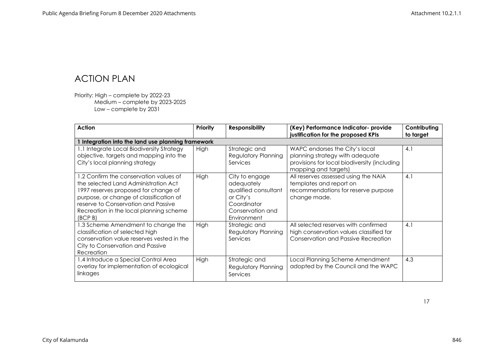### ACTION PLAN

Priority: High – complete by 2022-23 Medium – complete by 2023-2025 Low – complete by 2031

<span id="page-17-0"></span>

| <b>Action</b>                                                                                                                                                                                                                                                  | Priority    | <b>Responsibility</b>                                                                                               | (Key) Performance Indicator- provide<br>justification for the proposed KPIs                                                               | Contributing<br>to target |
|----------------------------------------------------------------------------------------------------------------------------------------------------------------------------------------------------------------------------------------------------------------|-------------|---------------------------------------------------------------------------------------------------------------------|-------------------------------------------------------------------------------------------------------------------------------------------|---------------------------|
| Integration into the land use planning framework                                                                                                                                                                                                               |             |                                                                                                                     |                                                                                                                                           |                           |
| 1.1 Integrate Local Biodiversity Strategy<br>objective, targets and mapping into the<br>City's local planning strategy                                                                                                                                         | High        | Strategic and<br><b>Regulatory Planning</b><br>Services                                                             | WAPC endorses the City's local<br>planning strategy with adequate<br>provisions for local biodiversity (including<br>mapping and targets) | 4.1                       |
| 1.2 Confirm the conservation values of<br>the selected Land Administration Act<br>1997 reserves proposed for change of<br>purpose, or change of classification of<br>reserve to Conservation and Passive<br>Recreation in the local planning scheme<br>(BCP B) | High        | City to engage<br>adequately<br>qualified consultant<br>or City's<br>Coordinator<br>Conservation and<br>Environment | All reserves assessed using the NAIA<br>templates and report on<br>recommendations for reserve purpose<br>change made.                    | 4.1                       |
| 1.3 Scheme Amendment to change the<br>classification of selected high<br>conservation value reserves vested in the<br>City to Conservation and Passive<br>Recreation                                                                                           | High        | Strategic and<br><b>Regulatory Planning</b><br>Services                                                             | All selected reserves with confirmed<br>high conservation values classified for<br>Conservation and Passive Recreation                    | 4.1                       |
| 1.4 Introduce a Special Control Area<br>overlay for implementation of ecological<br>linkages                                                                                                                                                                   | <b>High</b> | Strategic and<br><b>Regulatory Planning</b><br>Services                                                             | Local Planning Scheme Amendment<br>adopted by the Council and the WAPC                                                                    | 4.3                       |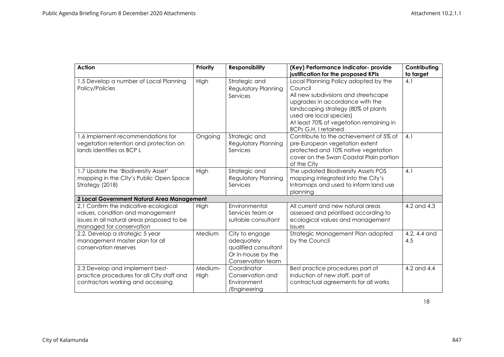| <b>Action</b>                                               | Priority | <b>Responsibility</b>        | (Key) Performance Indicator- provide                                    | Contributing |
|-------------------------------------------------------------|----------|------------------------------|-------------------------------------------------------------------------|--------------|
|                                                             |          |                              | justification for the proposed KPIs                                     | to target    |
| 1.5 Develop a number of Local Planning                      | High     | Strategic and                | Local Planning Policy adopted by the                                    | 4.1          |
| Policy/Policies                                             |          | Regulatory Planning          | Council                                                                 |              |
|                                                             |          | Services                     | All new subdivisions and streetscape<br>upgrades in accordance with the |              |
|                                                             |          |                              | landscaping strategy (80% of plants                                     |              |
|                                                             |          |                              | used are local species)                                                 |              |
|                                                             |          |                              | At least 70% of vegetation remaining in                                 |              |
|                                                             |          |                              | <b>BCPs G,H, I retained</b>                                             |              |
| 1.6 Implement recommendations for                           | Ongoing  | Strategic and                | Contribute to the achievement of 5% of                                  | 4.1          |
| vegetation retention and protection on                      |          | Regulatory Planning          | pre-European vegetation extent                                          |              |
| lands identifies as BCP L                                   |          | Services                     | protected and 10% native vegetation                                     |              |
|                                                             |          |                              | cover on the Swan Coastal Plain portion                                 |              |
|                                                             |          |                              | of the City                                                             |              |
| 1.7 Update the 'Biodiversity Asset'                         | High     | Strategic and                | The updated Biodiversity Assets POS                                     | 4.1          |
| mapping in the City's Public Open Space                     |          | Regulatory Planning          | mapping integrated into the City's                                      |              |
| Strategy (2018)                                             |          | Services                     | Intramaps and used to inform land use                                   |              |
|                                                             |          |                              | planning                                                                |              |
| 2 Local Government Natural Area Management                  |          |                              |                                                                         |              |
| 2.1 Confirm the indicative ecological                       | High     | Environmental                | All current and new natural areas                                       | 4.2 and 4.3  |
| values, condition and management                            |          | Services team or             | assessed and prioritised according to                                   |              |
| issues in all natural areas proposed to be                  |          | suitable consultant          | ecological values and management                                        |              |
| managed for conservation<br>2.2. Develop a strategic 5 year | Medium   |                              | issues                                                                  | 4.2, 4.4 and |
| management master plan for all                              |          | City to engage<br>adequately | Strategic Management Plan adopted<br>by the Council                     | 4.5          |
| conservation reserves                                       |          | qualified consultant         |                                                                         |              |
|                                                             |          | Or in-house by the           |                                                                         |              |
|                                                             |          | Conservation team            |                                                                         |              |
| 2.3 Develop and implement best-                             | Medium-  | Coordinator                  | Best practice procedures part of                                        | 4.2 and 4.4  |
| practice procedures for all City staff and                  | High     | Conservation and             | induction of new staff, part of                                         |              |
| contractors working and accessing                           |          | Environment                  | contractual agreements for all works                                    |              |
|                                                             |          | /Engineering                 |                                                                         |              |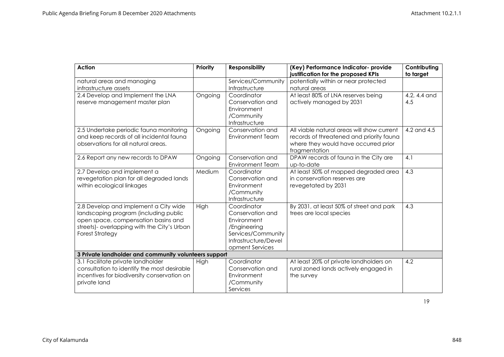| <b>Action</b>                                                                              | <b>Priority</b> | <b>Responsibility</b>           | (Key) Performance Indicator- provide<br>justification for the proposed KPIs | Contributing<br>to target |
|--------------------------------------------------------------------------------------------|-----------------|---------------------------------|-----------------------------------------------------------------------------|---------------------------|
| natural areas and managing                                                                 |                 | Services/Community              | potentially within or near protected                                        |                           |
| infrastructure assets                                                                      |                 | Infrastructure                  | natural areas                                                               |                           |
| 2.4 Develop and Implement the LNA                                                          | Ongoing         | Coordinator                     | At least 80% of LNA reserves being                                          | 4.2, 4.4 and              |
| reserve management master plan                                                             |                 | Conservation and                | actively managed by 2031                                                    | 4.5                       |
|                                                                                            |                 | Environment                     |                                                                             |                           |
|                                                                                            |                 | /Community                      |                                                                             |                           |
|                                                                                            |                 | Infrastructure                  |                                                                             |                           |
| 2.5 Undertake periodic fauna monitoring                                                    | Ongoing         | Conservation and                | All viable natural areas will show current                                  | 4.2 and 4.5               |
| and keep records of all incidental fauna                                                   |                 | Environment Team                | records of threatened and priority fauna                                    |                           |
| observations for all natural areas.                                                        |                 |                                 | where they would have occurred prior                                        |                           |
| 2.6 Report any new records to DPAW                                                         | Ongoing         | Conservation and                | fragmentation<br>DPAW records of fauna in the City are                      | 4.1                       |
|                                                                                            |                 | Environment Team                | up-to-date                                                                  |                           |
| 2.7 Develop and implement a                                                                | Medium          | Coordinator                     | At least 50% of mapped degraded area                                        | 4.3                       |
| revegetation plan for all degraded lands                                                   |                 | Conservation and                | in conservation reserves are                                                |                           |
| within ecological linkages                                                                 |                 | Environment                     | revegetated by 2031                                                         |                           |
|                                                                                            |                 | /Community                      |                                                                             |                           |
|                                                                                            |                 | Infrastructure                  |                                                                             |                           |
| 2.8 Develop and implement a City wide                                                      | High            | Coordinator                     | By 2031, at least 50% of street and park                                    | 4.3                       |
| landscaping program (including public                                                      |                 | Conservation and                | trees are local species                                                     |                           |
| open space, compensation basins and                                                        |                 | Environment                     |                                                                             |                           |
| streets)- overlapping with the City's Urban                                                |                 | /Engineering                    |                                                                             |                           |
| <b>Forest Strategy</b>                                                                     |                 | Services/Community              |                                                                             |                           |
|                                                                                            |                 | Infrastructure/Devel            |                                                                             |                           |
|                                                                                            |                 | opment Services                 |                                                                             |                           |
| 3 Private landholder and community volunteers support                                      |                 |                                 |                                                                             |                           |
| 3.1 Facilitate private landholder                                                          | High            | Coordinator                     | At least 20% of private landholders on                                      | 4.2                       |
| consultation to identify the most desirable<br>incentives for biodiversity conservation on |                 | Conservation and<br>Environment | rural zoned lands actively engaged in<br>the survey                         |                           |
| private land                                                                               |                 | /Community                      |                                                                             |                           |
|                                                                                            |                 | Services                        |                                                                             |                           |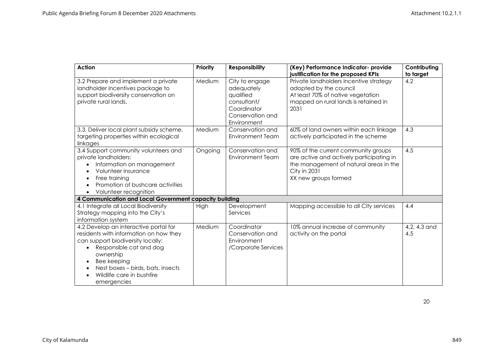| <b>Action</b>                                                                                                                                                                                                                                                             | <b>Priority</b> | <b>Responsibility</b>                                                                                      | (Key) Performance Indicator- provide<br>justification for the proposed KPIs                                                                                              | Contributing<br>to target |
|---------------------------------------------------------------------------------------------------------------------------------------------------------------------------------------------------------------------------------------------------------------------------|-----------------|------------------------------------------------------------------------------------------------------------|--------------------------------------------------------------------------------------------------------------------------------------------------------------------------|---------------------------|
| 3.2 Prepare and implement a private<br>landholder incentives package to<br>support biodiversity conservation on<br>private rural lands.                                                                                                                                   | Medium          | City to engage<br>adequately<br>qualified<br>consultant/<br>Coordinator<br>Conservation and<br>Environment | Private landholders incentive strategy<br>adopted by the council<br>At least 70% of native vegetation<br>mapped on rural lands is retained in<br>2031                    | 4.2                       |
| 3.3. Deliver local plant subsidy scheme,<br>targeting properties within ecological<br>linkages                                                                                                                                                                            | Medium          | Conservation and<br><b>Environment Team</b>                                                                | 60% of land owners within each linkage<br>actively participated in the scheme                                                                                            | 4.3                       |
| 3.4 Support community volunteers and<br>private landholders:<br>Information on management<br>Volunteer insurance<br>Free training<br>Promotion of bushcare activities<br>Volunteer recognition                                                                            | Ongoing         | Conservation and<br><b>Environment Team</b>                                                                | 90% of the current community groups<br>are active and actively participating in<br>the management of natural areas in the<br><b>City in 2031</b><br>XX new groups formed | 4.5                       |
| 4 Communication and Local Government capacity building                                                                                                                                                                                                                    |                 |                                                                                                            |                                                                                                                                                                          |                           |
| 4.1 Integrate all Local Biodiversity<br>Strategy mapping into the City's<br>information system                                                                                                                                                                            | High            | Development<br>Services                                                                                    | Mapping accessible to all City services                                                                                                                                  | 4.4                       |
| 4.2 Develop an interactive portal for<br>residents with information on how they<br>can support biodiversity locally:<br>Responsible cat and dog<br>ownership<br>Bee keeping<br>$\bullet$<br>Nest boxes - birds, bats, insects<br>Wildlife care in bushfire<br>emergencies | Medium          | Coordinator<br>Conservation and<br>Environment<br>/Corporate Services                                      | 10% annual increase of community<br>activity on the portal                                                                                                               | 4.2, 4.3 and<br>4.5       |